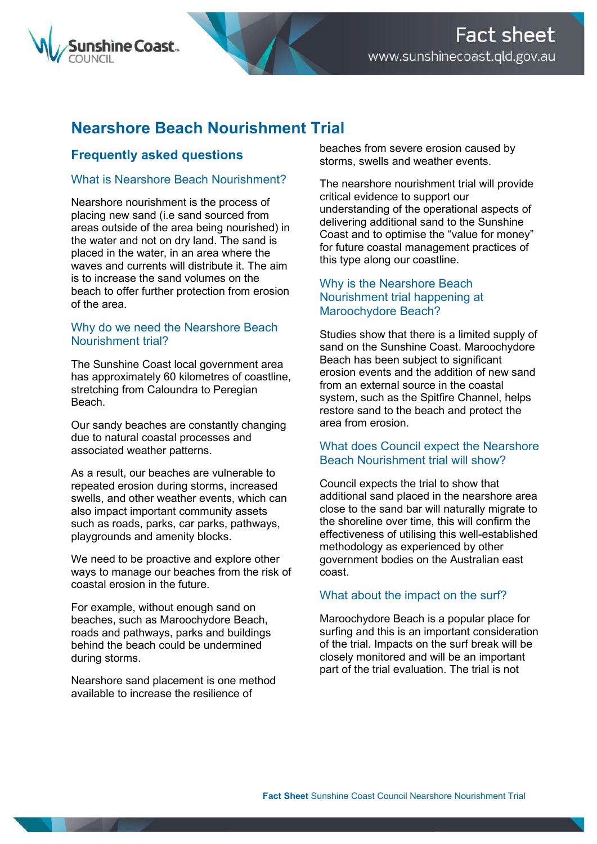

# **Nearshore Beach Nourishment Trial**

# **Frequently asked questions**

# What is Nearshore Beach Nourishment?

Nearshore nourishment is the process of placing new sand (i.e sand sourced from areas outside of the area being nourished) in the water and not on dry land. The sand is placed in the water, in an area where the waves and currents will distribute it. The aim is to increase the sand volumes on the beach to offer further protection from erosion of the area.

# Why do we need the Nearshore Beach Nourishment trial?

The Sunshine Coast local government area has approximately 60 kilometres of coastline, stretching from Caloundra to Peregian Beach.

Our sandy beaches are constantly changing due to natural coastal processes and associated weather patterns.

As a result, our beaches are vulnerable to repeated erosion during storms, increased swells, and other weather events, which can also impact important community assets such as roads, parks, car parks, pathways, playgrounds and amenity blocks.

We need to be proactive and explore other ways to manage our beaches from the risk of coastal erosion in the future.

For example, without enough sand on beaches, such as Maroochydore Beach, roads and pathways, parks and buildings behind the beach could be undermined during storms.

Nearshore sand placement is one method available to increase the resilience of

beaches from severe erosion caused by storms, swells and weather events.

The nearshore nourishment trial will provide critical evidence to support our understanding of the operational aspects of delivering additional sand to the Sunshine Coast and to optimise the "value for money" for future coastal management practices of this type along our coastline.

# Why is the Nearshore Beach Nourishment trial happening at Maroochydore Beach?

Studies show that there is a limited supply of sand on the Sunshine Coast. Maroochydore Beach has been subject to significant erosion events and the addition of new sand from an external source in the coastal system, such as the Spitfire Channel, helps restore sand to the beach and protect the area from erosion.

# What does Council expect the Nearshore Beach Nourishment trial will show?

Council expects the trial to show that additional sand placed in the nearshore area close to the sand bar will naturally migrate to the shoreline over time, this will confirm the effectiveness of utilising this well-established methodology as experienced by other government bodies on the Australian east coast.

# What about the impact on the surf?

Maroochydore Beach is a popular place for surfing and this is an important consideration of the trial. Impacts on the surf break will be closely monitored and will be an important part of the trial evaluation. The trial is not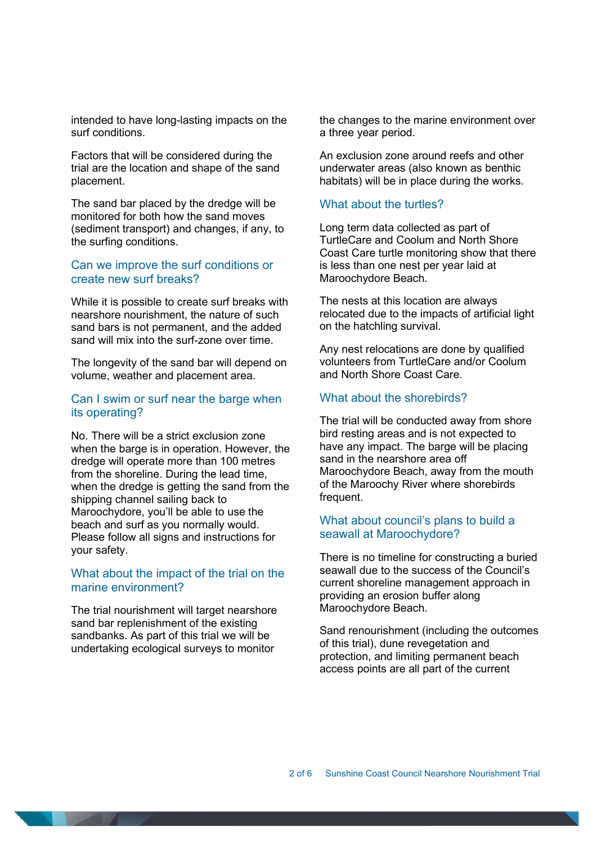intended to have long-lasting impacts on the surf conditions.

Factors that will be considered during the trial are the location and shape of the sand placement.

The sand bar placed by the dredge will be monitored for both how the sand moves (sediment transport) and changes, if any, to the surfing conditions.

# Can we improve the surf conditions or create new surf breaks?

While it is possible to create surf breaks with nearshore nourishment, the nature of such sand bars is not permanent, and the added sand will mix into the surf-zone over time.

The longevity of the sand bar will depend on volume, weather and placement area.

# Can I swim or surf near the barge when its operating?

No. There will be a strict exclusion zone when the barge is in operation. However, the dredge will operate more than 100 metres from the shoreline. During the lead time, when the dredge is getting the sand from the shipping channel sailing back to Maroochydore, you'll be able to use the beach and surf as you normally would. Please follow all signs and instructions for your safety.

## What about the impact of the trial on the marine environment?

The trial nourishment will target nearshore sand bar replenishment of the existing sandbanks. As part of this trial we will be undertaking ecological surveys to monitor

the changes to the marine environment over a three year period.

An exclusion zone around reefs and other underwater areas (also known as benthic habitats) will be in place during the works.

### What about the turtles?

Long term data collected as part of TurtleCare and Coolum and North Shore Coast Care turtle monitoring show that there is less than one nest per year laid at Maroochydore Beach.

The nests at this location are always relocated due to the impacts of artificial light on the hatchling survival.

Any nest relocations are done by qualified volunteers from TurtleCare and/or Coolum and North Shore Coast Care.

### What about the shorebirds?

The trial will be conducted away from shore bird resting areas and is not expected to have any impact. The barge will be placing sand in the nearshore area off Maroochydore Beach, away from the mouth of the Maroochy River where shorebirds frequent.

# What about council's plans to build a seawall at Maroochydore?

There is no timeline for constructing a buried seawall due to the success of the Council's current shoreline management approach in providing an erosion buffer along Maroochydore Beach.

Sand renourishment (including the outcomes of this trial), dune revegetation and protection, and limiting permanent beach access points are all part of the current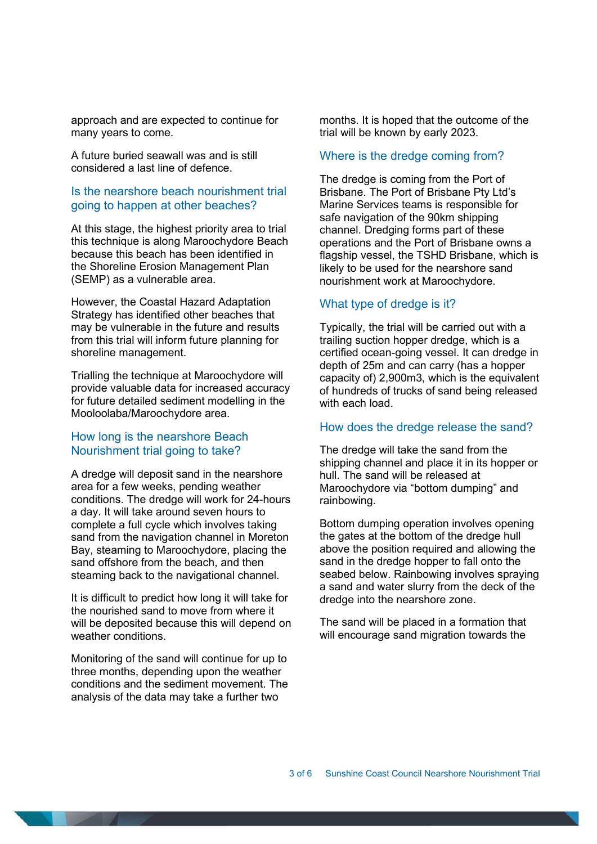approach and are expected to continue for many years to come.

A future buried seawall was and is still considered a last line of defence.

# Is the nearshore beach nourishment trial going to happen at other beaches?

At this stage, the highest priority area to trial this technique is along Maroochydore Beach because this beach has been identified in the Shoreline Erosion Management Plan (SEMP) as a vulnerable area.

However, the Coastal Hazard Adaptation Strategy has identified other beaches that may be vulnerable in the future and results from this trial will inform future planning for shoreline management.

Trialling the technique at Maroochydore will provide valuable data for increased accuracy for future detailed sediment modelling in the Mooloolaba/Maroochydore area.

### How long is the nearshore Beach Nourishment trial going to take?

A dredge will deposit sand in the nearshore area for a few weeks, pending weather conditions. The dredge will work for 24-hours a day. It will take around seven hours to complete a full cycle which involves taking sand from the navigation channel in Moreton Bay, steaming to Maroochydore, placing the sand offshore from the beach, and then steaming back to the navigational channel.

It is difficult to predict how long it will take for the nourished sand to move from where it will be deposited because this will depend on weather conditions.

Monitoring of the sand will continue for up to three months, depending upon the weather conditions and the sediment movement. The analysis of the data may take a further two

months. It is hoped that the outcome of the trial will be known by early 2023.

#### Where is the dredge coming from?

The dredge is coming from the Port of Brisbane. The Port of Brisbane Pty Ltd's Marine Services teams is responsible for safe navigation of the 90km shipping channel. Dredging forms part of these operations and the Port of Brisbane owns a flagship vessel, the TSHD Brisbane, which is likely to be used for the nearshore sand nourishment work at Maroochydore.

#### What type of dredge is it?

Typically, the trial will be carried out with a trailing suction hopper dredge, which is a certified ocean-going vessel. It can dredge in depth of 25m and can carry (has a hopper capacity of) 2,900m3, which is the equivalent of hundreds of trucks of sand being released with each load.

#### How does the dredge release the sand?

The dredge will take the sand from the shipping channel and place it in its hopper or hull. The sand will be released at Maroochydore via "bottom dumping" and rainbowing.

Bottom dumping operation involves opening the gates at the bottom of the dredge hull above the position required and allowing the sand in the dredge hopper to fall onto the seabed below. Rainbowing involves spraying a sand and water slurry from the deck of the dredge into the nearshore zone.

The sand will be placed in a formation that will encourage sand migration towards the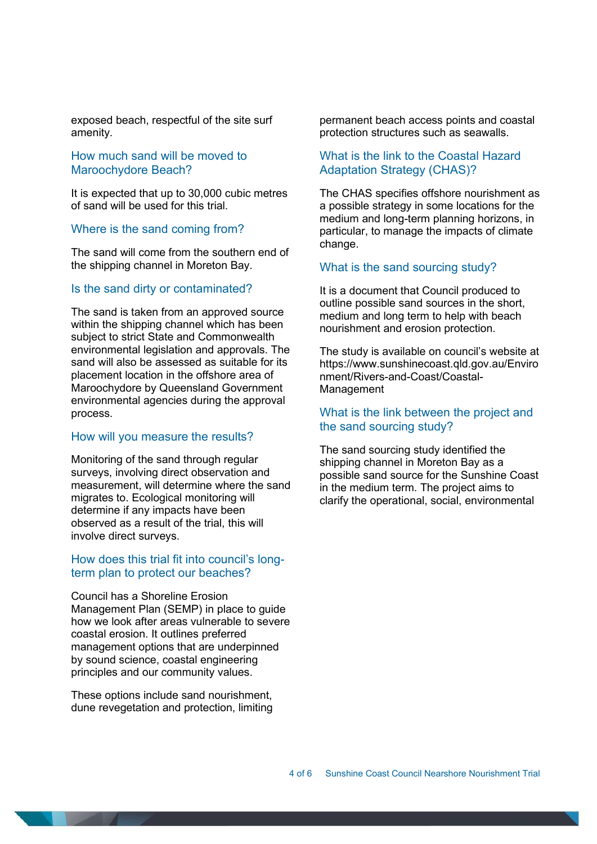exposed beach, respectful of the site surf amenity.

# How much sand will be moved to Maroochydore Beach?

It is expected that up to 30,000 cubic metres of sand will be used for this trial.

#### Where is the sand coming from?

The sand will come from the southern end of the shipping channel in Moreton Bay.

#### Is the sand dirty or contaminated?

The sand is taken from an approved source within the shipping channel which has been subject to strict State and Commonwealth environmental legislation and approvals. The sand will also be assessed as suitable for its placement location in the offshore area of Maroochydore by Queensland Government environmental agencies during the approval process.

#### How will you measure the results?

Monitoring of the sand through regular surveys, involving direct observation and measurement, will determine where the sand migrates to. Ecological monitoring will determine if any impacts have been observed as a result of the trial, this will involve direct surveys.

#### How does this trial fit into council's longterm plan to protect our beaches?

Council has a Shoreline Erosion Management Plan (SEMP) in place to guide how we look after areas vulnerable to severe coastal erosion. It outlines preferred management options that are underpinned by sound science, coastal engineering principles and our community values.

These options include sand nourishment, dune revegetation and protection, limiting permanent beach access points and coastal protection structures such as seawalls.

# What is the link to the Coastal Hazard Adaptation Strategy (CHAS)?

The CHAS specifies offshore nourishment as a possible strategy in some locations for the medium and long-term planning horizons, in particular, to manage the impacts of climate change.

#### What is the sand sourcing study?

It is a document that Council produced to outline possible sand sources in the short, medium and long term to help with beach nourishment and erosion protection.

The study is available on council's website at https://www.sunshinecoast.qld.gov.au/Enviro nment/Rivers-and-Coast/Coastal-Management

# What is the link between the project and the sand sourcing study?

The sand sourcing study identified the shipping channel in Moreton Bay as a possible sand source for the Sunshine Coast in the medium term. The project aims to clarify the operational, social, environmental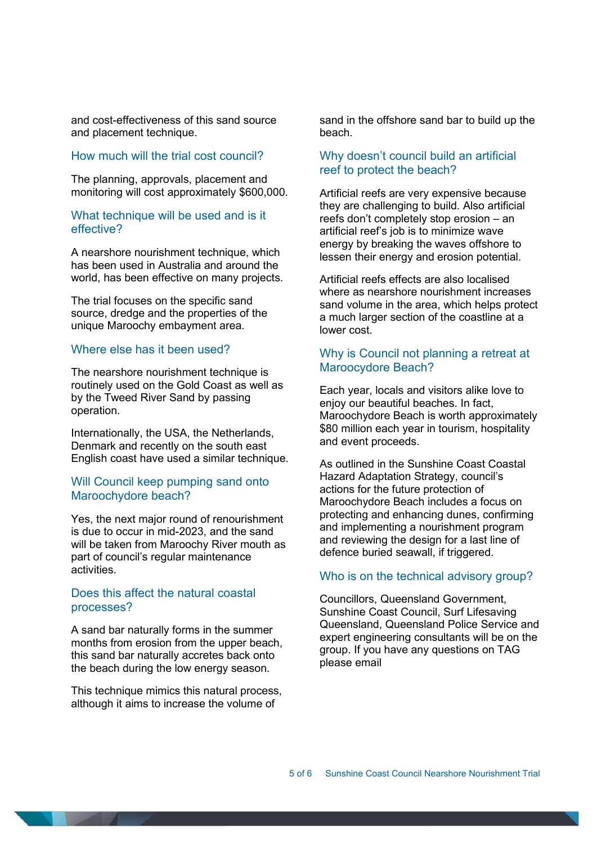and cost-effectiveness of this sand source and placement technique.

### How much will the trial cost council?

The planning, approvals, placement and monitoring will cost approximately \$600,000.

# What technique will be used and is it effective?

A nearshore nourishment technique, which has been used in Australia and around the world, has been effective on many projects.

The trial focuses on the specific sand source, dredge and the properties of the unique Maroochy embayment area.

#### Where else has it been used?

The nearshore nourishment technique is routinely used on the Gold Coast as well as by the Tweed River Sand by passing operation.

Internationally, the USA, the Netherlands, Denmark and recently on the south east English coast have used a similar technique.

### Will Council keep pumping sand onto Maroochydore beach?

Yes, the next major round of renourishment is due to occur in mid-2023, and the sand will be taken from Maroochy River mouth as part of council's regular maintenance activities.

### Does this affect the natural coastal processes?

A sand bar naturally forms in the summer months from erosion from the upper beach, this sand bar naturally accretes back onto the beach during the low energy season.

This technique mimics this natural process, although it aims to increase the volume of

sand in the offshore sand bar to build up the beach.

# Why doesn't council build an artificial reef to protect the beach?

Artificial reefs are very expensive because they are challenging to build. Also artificial reefs don't completely stop erosion – an artificial reef's job is to minimize wave energy by breaking the waves offshore to lessen their energy and erosion potential.

Artificial reefs effects are also localised where as nearshore nourishment increases sand volume in the area, which helps protect a much larger section of the coastline at a lower cost.

### Why is Council not planning a retreat at Maroocydore Beach?

Each year, locals and visitors alike love to enjoy our beautiful beaches. In fact, Maroochydore Beach is worth approximately \$80 million each year in tourism, hospitality and event proceeds.

As outlined in the Sunshine Coast Coastal Hazard Adaptation Strategy, council's actions for the future protection of Maroochydore Beach includes a focus on protecting and enhancing dunes, confirming and implementing a nourishment program and reviewing the design for a last line of defence buried seawall, if triggered.

### Who is on the technical advisory group?

Councillors, Queensland Government, Sunshine Coast Council, Surf Lifesaving Queensland, Queensland Police Service and expert engineering consultants will be on the group. If you have any questions on TAG please email